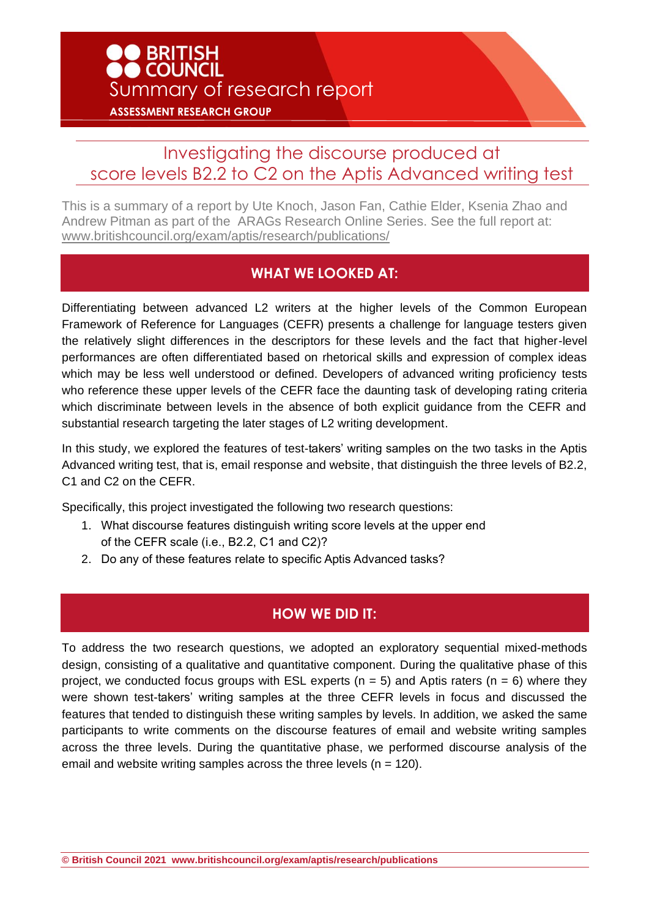# BRITISH<br>COUNCIL Summary of research report **ASSESSMENT RESEARCH GROUP**

## Investigating the discourse produced at score levels B2.2 to C2 on the Aptis Advanced writing test

This is a summary of a report by Ute Knoch, Jason Fan, Cathie Elder, Ksenia Zhao and Andrew Pitman as part of the ARAGs Research Online Series. See the full report at: [www.britishcouncil.org/exam/aptis/research/publications/](http://www.britishcouncil.org/exam/aptis/research/publications/)

#### **WHAT WE LOOKED AT:**

Differentiating between advanced L2 writers at the higher levels of the Common European Framework of Reference for Languages (CEFR) presents a challenge for language testers given the relatively slight differences in the descriptors for these levels and the fact that higher-level performances are often differentiated based on rhetorical skills and expression of complex ideas which may be less well understood or defined. Developers of advanced writing proficiency tests who reference these upper levels of the CEFR face the daunting task of developing rating criteria which discriminate between levels in the absence of both explicit guidance from the CEFR and substantial research targeting the later stages of L2 writing development.

In this study, we explored the features of test-takers' writing samples on the two tasks in the Aptis Advanced writing test, that is, email response and website, that distinguish the three levels of B2.2, C1 and C2 on the CEFR.

Specifically, this project investigated the following two research questions:

- 1. What discourse features distinguish writing score levels at the upper end of the CEFR scale (i.e., B2.2, C1 and C2)?
- 2. Do any of these features relate to specific Aptis Advanced tasks?

### **HOW WE DID IT:**

To address the two research questions, we adopted an exploratory sequential mixed-methods design, consisting of a qualitative and quantitative component. During the qualitative phase of this project, we conducted focus groups with ESL experts ( $n = 5$ ) and Aptis raters ( $n = 6$ ) where they were shown test-takers' writing samples at the three CEFR levels in focus and discussed the features that tended to distinguish these writing samples by levels. In addition, we asked the same participants to write comments on the discourse features of email and website writing samples across the three levels. During the quantitative phase, we performed discourse analysis of the email and website writing samples across the three levels  $(n = 120)$ .